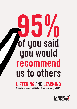# **LISTENING AND LEARNING 95% of you said you would recommend us to others**

**Service user satisfaction survey 2015**

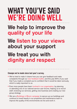## **WHAT YOU'VE SAID WE'RE DOING WELL ------------------------------------**

## **We help to improve the quality of your life**

## **We listen to your views about your support**

## **We treat you with dignity and respect**

### **Changes we've made since last year's survey:**

**•** We've tried to make it clearer how you can give feedback and make complaints through our new feedback leaflet, and this year 84% of you said that if you made a complaint you're confident that it would be taken seriously, which is really important to us.

**------------------------------------**

- **•** Even more people have been involved in our organisation, by planning or attending one of our national service user forums, helping us to recruit staff, reviewing our services, getting new business and creating our new group strategy
- **•** We ran a Buildings in Bloom campaign to spruce up our buildings and continue to invest heavily in our properties and maintenance team to improve the quality of the environments we live and work in.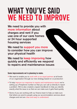## **WHAT YOU'VE SAID WE NEED TO IMPROVE ------------------------------------**

**We need to provide you with more information about charges and rent if you use one of our care homes or 24 hour supported housing services**

**We need to support you more to consider how you can improve your physical health**

**We need to keep improving how quickly and efficiently we respond to repairs and maintenance issues**

### **Some improvements we're planning to make:**

**•** We want to enable you to work with us as equal partners at all levels of our organisation through our new strategy based on co-production

**------------------------------------**

- **•** To help improve our response to repairs and maintenance issues we're setting up a Freephone number so that you can call us directly to report a problem. We've also created a repairs handbook to help you identify exactly what the issue is so that we can make sure it gets fixed quickly
- **•** Some of you are working with our finance team to help us make sure that letters we send to people using our accommodation services about charges and rent are clear and easy to understand.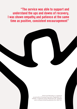**"The service was able to support and understand the ups and downs of recovery. I was shown empathy and patience at the same time as positive, consistent encouragement"**

> Richmond Fellowship is a registered social landlord (Housing Corporation Registration No. H2025), a registered charity (Registration No. 200453) and a company limited by quarantee (No. 662712).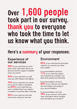## **Over 1,600 people took part in our survey. thank you to everyone who took the time to let us know what you think.**

### **------------------------------------ Here's a summary of your responses:**

### **Experience of our services**

**89%** of you said that you were given clear information about our services and the support available when you joined

**94%** of you said that our staff treat you with respect and dignity

**73%** of you said that you would know how to make a complaint, and **84%** of you said that you were confident that if you made a complaint it would be taken seriously

**92%** of you said you feel safe and secure using our services

### **Environment**

**83%** of you said that the premises used for our services are clean and suitable

In accommodation services, **71%** of you said that repairs and maintenance problems are dealt with quickly and efficiently

In accommodation services, **82%** of you said you are satisfied with the design and quality of your accommodation

In accommodation services, **79%** of you said you were given clear information about charges and rent before you moved in